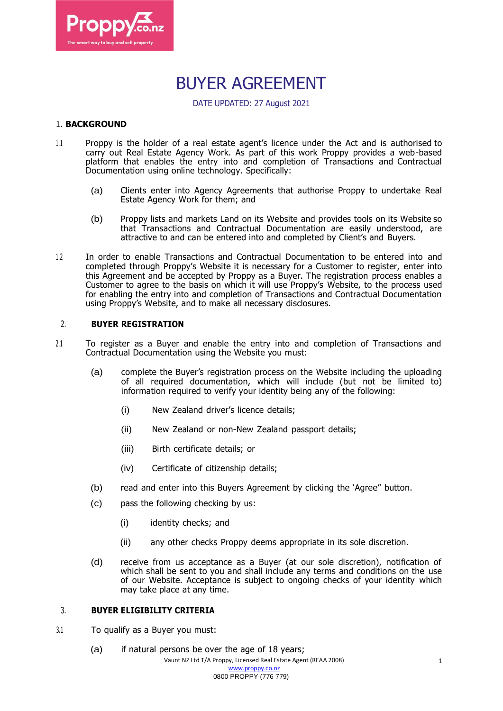

# BUYER AGREEMENT

DATE UPDATED: 27 August 2021

# 1. **BACKGROUND**

- 1.1 Proppy is the holder of a real estate agent's licence under the Act and is authorised to carry out Real Estate Agency Work. As part of this work Proppy provides a web-based platform that enables the entry into and completion of Transactions and Contractual Documentation using online technology. Specifically:
	- (a) Clients enter into Agency Agreements that authorise Proppy to undertake Real Estate Agency Work for them; and
	- (b) Proppy lists and markets Land on its Website and provides tools on its Website so that Transactions and Contractual Documentation are easily understood, are attractive to and can be entered into and completed by Client's and Buyers.
- 1.2 In order to enable Transactions and Contractual Documentation to be entered into and completed through Proppy's Website it is necessary for a Customer to register, enter into this Agreement and be accepted by Proppy as a Buyer. The registration process enables a Customer to agree to the basis on which it will use Proppy's Website, to the process used for enabling the entry into and completion of Transactions and Contractual Documentation using Proppy's Website, and to make all necessary disclosures.

#### 2. **BUYER REGISTRATION**

- 2.1 To register as a Buyer and enable the entry into and completion of Transactions and Contractual Documentation using the Website you must:
	- (a) complete the Buyer's registration process on the Website including the uploading of all required documentation, which will include (but not be limited to) information required to verify your identity being any of the following:
		- (i) New Zealand driver's licence details;
		- (ii) New Zealand or non-New Zealand passport details;
		- (iii) Birth certificate details; or
		- (iv) Certificate of citizenship details;
	- (b) read and enter into this Buyers Agreement by clicking the 'Agree" button.
	- (c) pass the following checking by us:
		- (i) identity checks; and
		- (ii) any other checks Proppy deems appropriate in its sole discretion.
	- (d) receive from us acceptance as a Buyer (at our sole discretion), notification of which shall be sent to you and shall include any terms and conditions on the use of our Website. Acceptance is subject to ongoing checks of your identity which may take place at any time.

# 3. **BUYER ELIGIBILITY CRITERIA**

- 3.1 To qualify as a Buyer you must:
	- (a) if natural persons be over the age of 18 years;

Vaunt NZ Ltd T/A Proppy, Licensed Real Estate Agent (REAA 2008) [www.proppy.co.nz](http://www.proppy.co.nz/)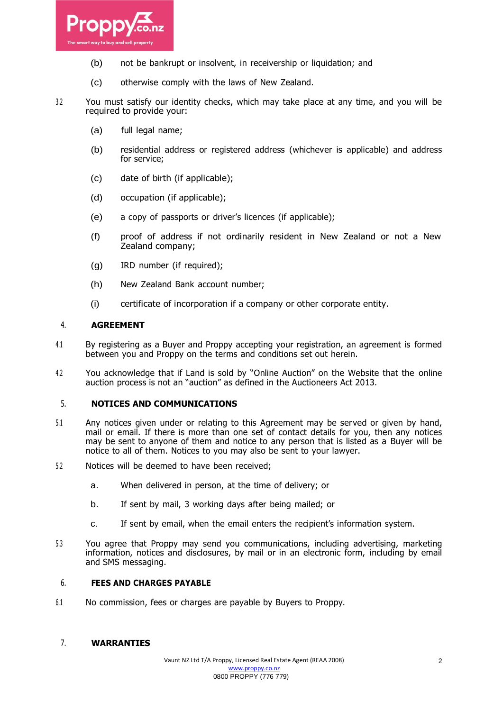

- (b) not be bankrupt or insolvent, in receivership or liquidation; and
- (c) otherwise comply with the laws of New Zealand.
- 3.2 You must satisfy our identity checks, which may take place at any time, and you will be required to provide your:
	- (a) full legal name;
	- (b) residential address or registered address (whichever is applicable) and address for service;
	- (c) date of birth (if applicable);
	- (d) occupation (if applicable);
	- (e) a copy of passports or driver's licences (if applicable);
	- (f) proof of address if not ordinarily resident in New Zealand or not a New Zealand company;
	- (g) IRD number (if required);
	- (h) New Zealand Bank account number;
	- (i) certificate of incorporation if a company or other corporate entity.

#### 4. **AGREEMENT**

- 4.1 By registering as a Buyer and Proppy accepting your registration, an agreement is formed between you and Proppy on the terms and conditions set out herein.
- 4.2 You acknowledge that if Land is sold by "Online Auction" on the Website that the online auction process is not an "auction" as defined in the Auctioneers Act 2013.

#### 5. **NOTICES AND COMMUNICATIONS**

- 5.1 Any notices given under or relating to this Agreement may be served or given by hand, mail or email. If there is more than one set of contact details for you, then any notices may be sent to anyone of them and notice to any person that is listed as a Buyer will be notice to all of them. Notices to you may also be sent to your lawyer.
- 5.2 Notices will be deemed to have been received;
	- a. When delivered in person, at the time of delivery; or
	- b. If sent by mail, 3 working days after being mailed; or
	- c. If sent by email, when the email enters the recipient's information system.
- 5.3 You agree that Proppy may send you communications, including advertising, marketing information, notices and disclosures, by mail or in an electronic form, including by email and SMS messaging.

#### 6. **FEES AND CHARGES PAYABLE**

6.1 No commission, fees or charges are payable by Buyers to Proppy.

# 7. **WARRANTIES**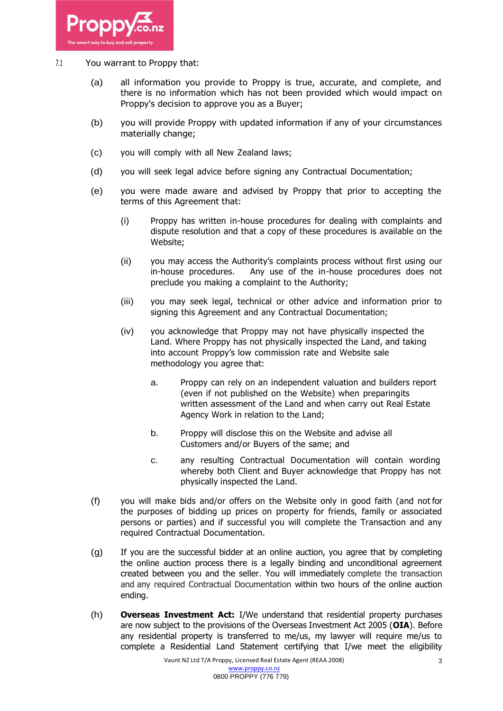

# 7.1 You warrant to Proppy that:

- (a) all information you provide to Proppy is true, accurate, and complete, and there is no information which has not been provided which would impact on Proppy's decision to approve you as a Buyer;
- (b) you will provide Proppy with updated information if any of your circumstances materially change;
- (c) you will comply with all New Zealand laws;
- (d) you will seek legal advice before signing any Contractual Documentation;
- (e) you were made aware and advised by Proppy that prior to accepting the terms of this Agreement that:
	- (i) Proppy has written in-house procedures for dealing with complaints and dispute resolution and that a copy of these procedures is available on the Website;
	- (ii) you may access the Authority's complaints process without first using our in-house procedures. Any use of the in-house procedures does not preclude you making a complaint to the Authority;
	- (iii) you may seek legal, technical or other advice and information prior to signing this Agreement and any Contractual Documentation;
	- (iv) you acknowledge that Proppy may not have physically inspected the Land. Where Proppy has not physically inspected the Land, and taking into account Proppy's low commission rate and Website sale methodology you agree that:
		- a. Proppy can rely on an independent valuation and builders report (even if not published on the Website) when preparingits written assessment of the Land and when carry out Real Estate Agency Work in relation to the Land;
		- b. Proppy will disclose this on the Website and advise all Customers and/or Buyers of the same; and
		- c. any resulting Contractual Documentation will contain wording whereby both Client and Buyer acknowledge that Proppy has not physically inspected the Land.
- (f) you will make bids and/or offers on the Website only in good faith (and not for the purposes of bidding up prices on property for friends, family or associated persons or parties) and if successful you will complete the Transaction and any required Contractual Documentation.
- (g) If you are the successful bidder at an online auction, you agree that by completing the online auction process there is a legally binding and unconditional agreement created between you and the seller. You will immediately complete the transaction and any required Contractual Documentation within two hours of the online auction ending.
- (h) **Overseas Investment Act:** I/We understand that residential property purchases are now subject to the provisions of the Overseas Investment Act 2005 (**OIA**). Before any residential property is transferred to me/us, my lawyer will require me/us to complete a Residential Land Statement certifying that I/we meet the eligibility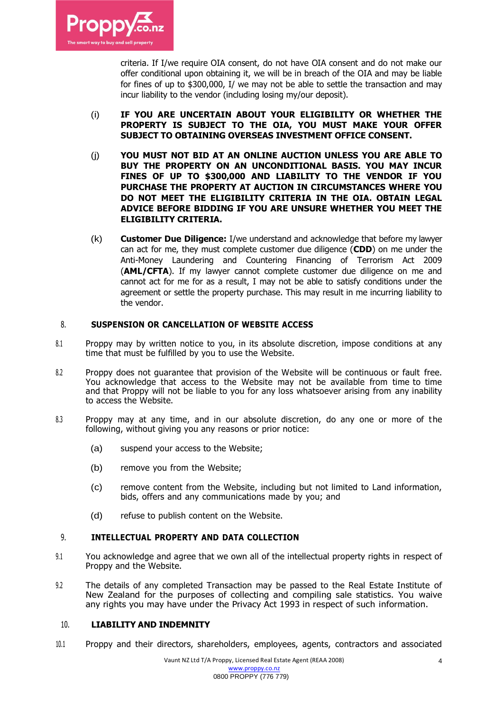

criteria. If I/we require OIA consent, do not have OIA consent and do not make our offer conditional upon obtaining it, we will be in breach of the OIA and may be liable for fines of up to \$300,000, I/ we may not be able to settle the transaction and may incur liability to the vendor (including losing my/our deposit).

- (i) **IF YOU ARE UNCERTAIN ABOUT YOUR ELIGIBILITY OR WHETHER THE PROPERTY IS SUBJECT TO THE OIA, YOU MUST MAKE YOUR OFFER SUBJECT TO OBTAINING OVERSEAS INVESTMENT OFFICE CONSENT.**
- (j) **YOU MUST NOT BID AT AN ONLINE AUCTION UNLESS YOU ARE ABLE TO BUY THE PROPERTY ON AN UNCONDITIONAL BASIS. YOU MAY INCUR FINES OF UP TO \$300,000 AND LIABILITY TO THE VENDOR IF YOU PURCHASE THE PROPERTY AT AUCTION IN CIRCUMSTANCES WHERE YOU DO NOT MEET THE ELIGIBILITY CRITERIA IN THE OIA. OBTAIN LEGAL ADVICE BEFORE BIDDING IF YOU ARE UNSURE WHETHER YOU MEET THE ELIGIBILITY CRITERIA.**
- (k) **Customer Due Diligence:** I/we understand and acknowledge that before my lawyer can act for me, they must complete customer due diligence (**CDD**) on me under the Anti-Money Laundering and Countering Financing of Terrorism Act 2009 (**AML/CFTA**). If my lawyer cannot complete customer due diligence on me and cannot act for me for as a result, I may not be able to satisfy conditions under the agreement or settle the property purchase. This may result in me incurring liability to the vendor.

# 8. **SUSPENSION OR CANCELLATION OF WEBSITE ACCESS**

- 8.1 Proppy may by written notice to you, in its absolute discretion, impose conditions at any time that must be fulfilled by you to use the Website.
- 8.2 Proppy does not quarantee that provision of the Website will be continuous or fault free. You acknowledge that access to the Website may not be available from time to time and that Proppy will not be liable to you for any loss whatsoever arising from any inability to access the Website.
- 8.3 Proppy may at any time, and in our absolute discretion, do any one or more of the following, without giving you any reasons or prior notice:
	- (a) suspend your access to the Website;
	- (b) remove you from the Website;
	- (c) remove content from the Website, including but not limited to Land information, bids, offers and any communications made by you; and
	- (d) refuse to publish content on the Website.

# 9. **INTELLECTUAL PROPERTY AND DATA COLLECTION**

- 9.1 You acknowledge and agree that we own all of the intellectual property rights in respect of Proppy and the Website.
- 9.2 The details of any completed Transaction may be passed to the Real Estate Institute of New Zealand for the purposes of collecting and compiling sale statistics. You waive any rights you may have under the Privacy Act 1993 in respect of such information.

#### 10. **LIABILITY AND INDEMNITY**

10.1 Proppy and their directors, shareholders, employees, agents, contractors and associated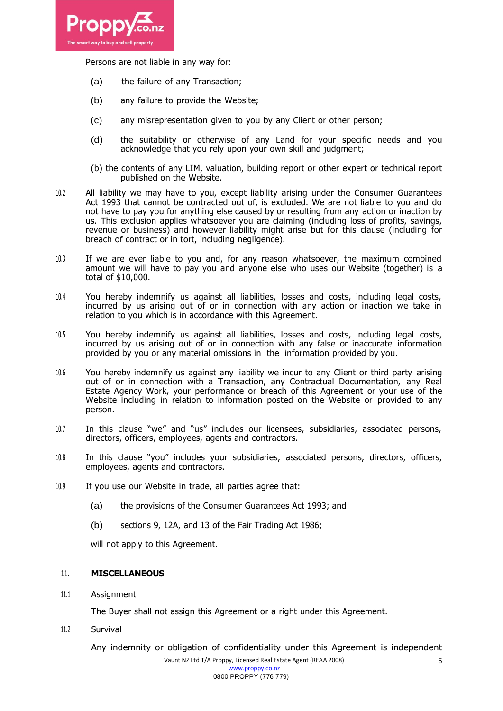

Persons are not liable in any way for:

- (a) the failure of any Transaction;
- (b) any failure to provide the Website;
- (c) any misrepresentation given to you by any Client or other person;
- (d) the suitability or otherwise of any Land for your specific needs and you acknowledge that you rely upon your own skill and judgment;
- (b) the contents of any LIM, valuation, building report or other expert or technical report published on the Website.
- 10.2 All liability we may have to you, except liability arising under the Consumer Guarantees Act 1993 that cannot be contracted out of, is excluded. We are not liable to you and do not have to pay you for anything else caused by or resulting from any action or inaction by us. This exclusion applies whatsoever you are claiming (including loss of profits, savings, revenue or business) and however liability might arise but for this clause (including for breach of contract or in tort, including negligence).
- 10.3 If we are ever liable to you and, for any reason whatsoever, the maximum combined amount we will have to pay you and anyone else who uses our Website (together) is a total of \$10,000.
- 10.4 You hereby indemnify us against all liabilities, losses and costs, including legal costs, incurred by us arising out of or in connection with any action or inaction we take in relation to you which is in accordance with this Agreement.
- 10.5 You hereby indemnify us against all liabilities, losses and costs, including legal costs, incurred by us arising out of or in connection with any false or inaccurate information provided by you or any material omissions in the information provided by you.
- 10.6 You hereby indemnify us against any liability we incur to any Client or third party arising out of or in connection with a Transaction, any Contractual Documentation, any Real Estate Agency Work, your performance or breach of this Agreement or your use of the Website including in relation to information posted on the Website or provided to any person.
- 10.7 In this clause "we" and "us" includes our licensees, subsidiaries, associated persons, directors, officers, employees, agents and contractors.
- 10.8 In this clause "you" includes your subsidiaries, associated persons, directors, officers, employees, agents and contractors.
- 10.9 If you use our Website in trade, all parties agree that:
	- (a) the provisions of the Consumer Guarantees Act 1993; and
	- (b) sections 9, 12A, and 13 of the Fair Trading Act 1986;

will not apply to this Agreement.

# 11. **MISCELLANEOUS**

11.1 Assignment

The Buyer shall not assign this Agreement or a right under this Agreement.

11.2 Survival

Any indemnity or obligation of confidentiality under this Agreement is independent

5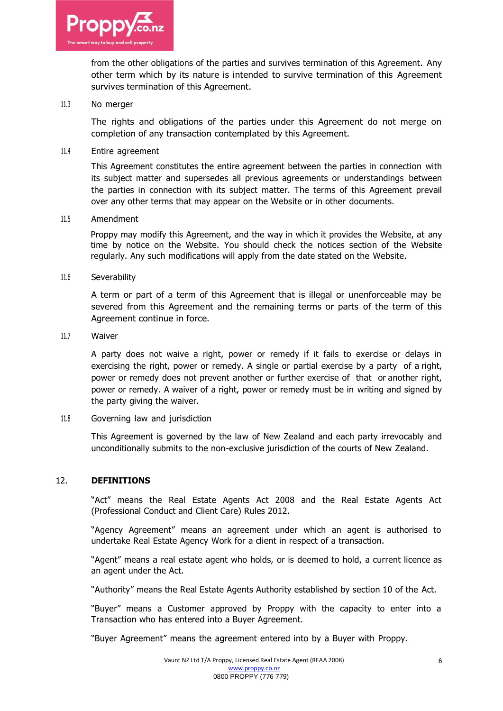

from the other obligations of the parties and survives termination of this Agreement. Any other term which by its nature is intended to survive termination of this Agreement survives termination of this Agreement.

#### 11.3 No merger

The rights and obligations of the parties under this Agreement do not merge on completion of any transaction contemplated by this Agreement.

#### 11.4 Entire agreement

This Agreement constitutes the entire agreement between the parties in connection with its subject matter and supersedes all previous agreements or understandings between the parties in connection with its subject matter. The terms of this Agreement prevail over any other terms that may appear on the Website or in other documents.

#### 11.5 Amendment

Proppy may modify this Agreement, and the way in which it provides the Website, at any time by notice on the Website. You should check the notices section of the Website regularly. Any such modifications will apply from the date stated on the Website.

#### 11.6 Severability

A term or part of a term of this Agreement that is illegal or unenforceable may be severed from this Agreement and the remaining terms or parts of the term of this Agreement continue in force.

#### 11.7 Waiver

A party does not waive a right, power or remedy if it fails to exercise or delays in exercising the right, power or remedy. A single or partial exercise by a party of a right, power or remedy does not prevent another or further exercise of that or another right, power or remedy. A waiver of a right, power or remedy must be in writing and signed by the party giving the waiver.

# 11.8 Governing law and jurisdiction

This Agreement is governed by the law of New Zealand and each party irrevocably and unconditionally submits to the non-exclusive jurisdiction of the courts of New Zealand.

# 12. **DEFINITIONS**

"Act" means the Real Estate Agents Act 2008 and the Real Estate Agents Act (Professional Conduct and Client Care) Rules 2012.

"Agency Agreement" means an agreement under which an agent is authorised to undertake Real Estate Agency Work for a client in respect of a transaction.

"Agent" means a real estate agent who holds, or is deemed to hold, a current licence as an agent under the Act.

"Authority" means the Real Estate Agents Authority established by section 10 of the Act.

"Buyer" means a Customer approved by Proppy with the capacity to enter into a Transaction who has entered into a Buyer Agreement.

"Buyer Agreement" means the agreement entered into by a Buyer with Proppy.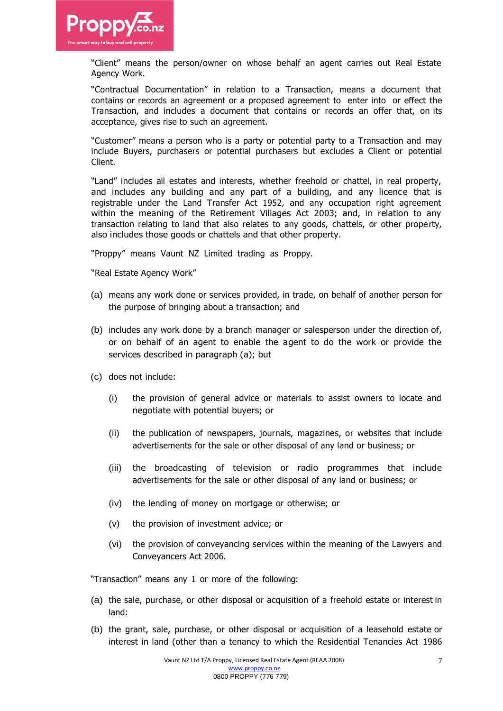

"Client" means the person/owner on whose behalf an agent carries out Real Estate Agency Work.

"Contractual Documentation" in relation to a Transaction, means a document that contains or records an agreement or a proposed agreement to enter into or effect the Transaction, and includes a document that contains or records an offer that, on its acceptance, gives rise to such an agreement.

"Customer" means a person who is a party or potential party to a Transaction and may include Buyers, purchasers or potential purchasers but excludes a Client or potential Client.

"Land" includes all estates and interests, whether freehold or chattel, in real property, and includes any building and any part of a building, and any licence that is registrable under the Land Transfer Act 1952, and any occupation right agreement within the meaning of the Retirement Villages Act 2003; and, in relation to any transaction relating to land that also relates to any goods, chattels, or other property, also includes those goods or chattels and that other property.

"Proppy" means Vaunt NZ Limited trading as Proppy.

"Real Estate Agency Work"

- (a) means any work done or services provided, in trade, on behalf of another person for the purpose of bringing about a transaction; and
- (b) includes any work done by a branch manager or salesperson under the direction of, or on behalf of an agent to enable the agent to do the work or provide the services described in paragraph (a); but
- (c) does not include:
	- (i) the provision of general advice or materials to assist owners to locate and negotiate with potential buyers; or
	- (ii) the publication of newspapers, journals, magazines, or websites that include advertisements for the sale or other disposal of any land or business; or
	- (iii) the broadcasting of television or radio programmes that include advertisements for the sale or other disposal of any land or business; or
	- (iv) the lending of money on mortgage or otherwise; or
	- (v) the provision of investment advice; or
	- (vi) the provision of conveyancing services within the meaning of the Lawyers and Conveyancers Act 2006.

"Transaction" means any 1 or more of the following:

- (a) the sale, purchase, or other disposal or acquisition of a freehold estate or interest in land:
- (b) the grant, sale, purchase, or other disposal or acquisition of a leasehold estate or interest in land (other than a tenancy to which the Residential Tenancies Act 1986